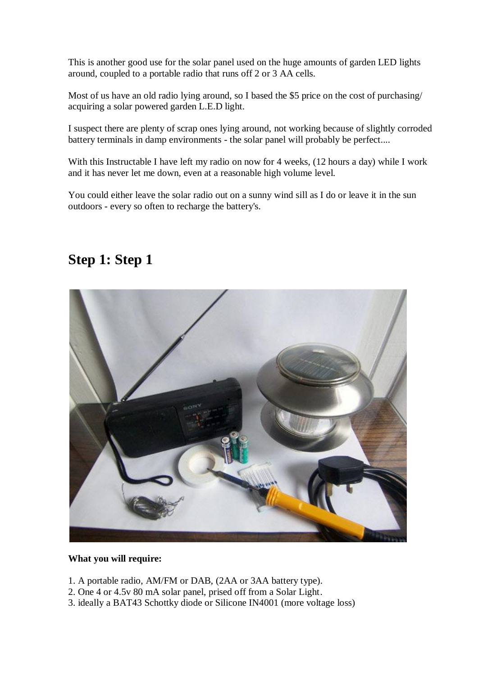This is another good use for the solar panel used on the huge amounts of garden LED lights around, coupled to a portable radio that runs off 2 or 3 AA cells.

Most of us have an old radio lying around, so I based the \$5 price on the cost of purchasing/ acquiring a solar powered garden L.E.D light.

I suspect there are plenty of scrap ones lying around, not working because of slightly corroded battery terminals in damp environments - the solar panel will probably be perfect....

With this Instructable I have left my radio on now for 4 weeks, (12 hours a day) while I work and it has never let me down, even at a reasonable high volume level.

You could either leave the solar radio out on a sunny wind sill as I do or leave it in the sun outdoors - every so often to recharge the battery's.



#### **Step 1: Step 1**

#### **What you will require:**

- 1. A portable radio, AM/FM or DAB, (2AA or 3AA battery type).
- 2. One 4 or 4.5v 80 mA solar panel, prised off from a Solar Light.
- 3. ideally a BAT43 Schottky diode or Silicone IN4001 (more voltage loss)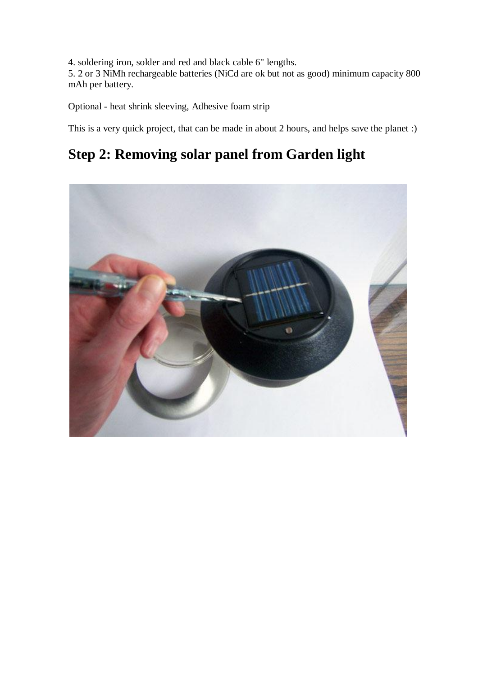4. soldering iron, solder and red and black cable 6" lengths.

5. 2 or 3 NiMh rechargeable batteries (NiCd are ok but not as good) minimum capacity 800 mAh per battery.

Optional - heat shrink sleeving, Adhesive foam strip

This is a very quick project, that can be made in about 2 hours, and helps save the planet :)

## **Step 2: Removing solar panel from Garden light**

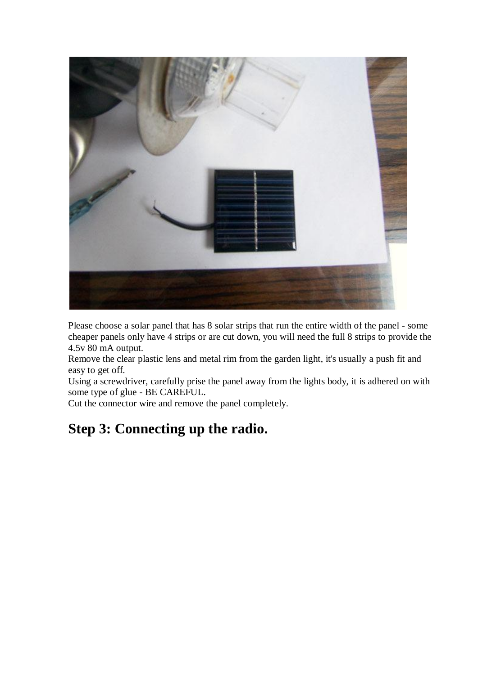

Please choose a solar panel that has 8 solar strips that run the entire width of the panel - some cheaper panels only have 4 strips or are cut down, you will need the full 8 strips to provide the 4.5v 80 mA output.

Remove the clear plastic lens and metal rim from the garden light, it's usually a push fit and easy to get off.

Using a screwdriver, carefully prise the panel away from the lights body, it is adhered on with some type of glue - BE CAREFUL.

Cut the connector wire and remove the panel completely.

#### **Step 3: Connecting up the radio.**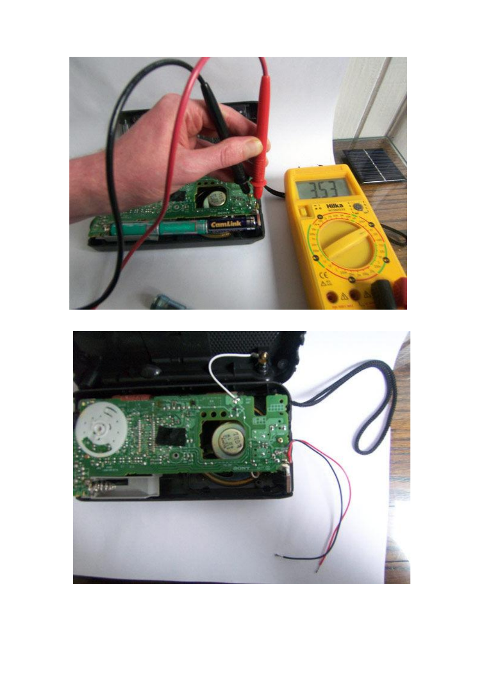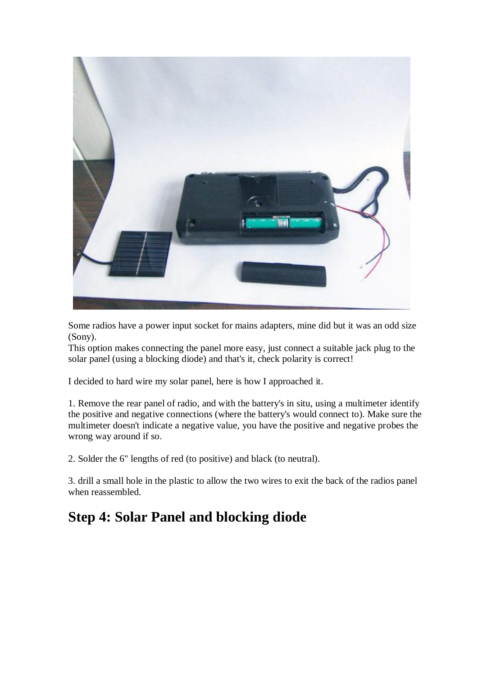

Some radios have a power input socket for mains adapters, mine did but it was an odd size (Sony).

This option makes connecting the panel more easy, just connect a suitable jack plug to the solar panel (using a blocking diode) and that's it, check polarity is correct!

I decided to hard wire my solar panel, here is how I approached it.

1. Remove the rear panel of radio, and with the battery's in situ, using a multimeter identify the positive and negative connections (where the battery's would connect to). Make sure the multimeter doesn't indicate a negative value, you have the positive and negative probes the wrong way around if so.

2. Solder the 6" lengths of red (to positive) and black (to neutral).

3. drill a small hole in the plastic to allow the two wires to exit the back of the radios panel when reassembled.

#### **Step 4: Solar Panel and blocking diode**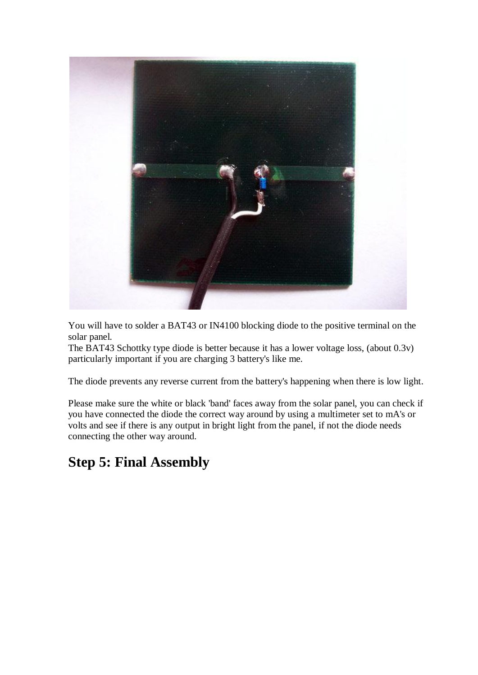

You will have to solder a BAT43 or IN4100 blocking diode to the positive terminal on the solar panel.

The BAT43 Schottky type diode is better because it has a lower voltage loss, (about 0.3v) particularly important if you are charging 3 battery's like me.

The diode prevents any reverse current from the battery's happening when there is low light.

Please make sure the white or black 'band' faces away from the solar panel, you can check if you have connected the diode the correct way around by using a multimeter set to mA's or volts and see if there is any output in bright light from the panel, if not the diode needs connecting the other way around.

### **Step 5: Final Assembly**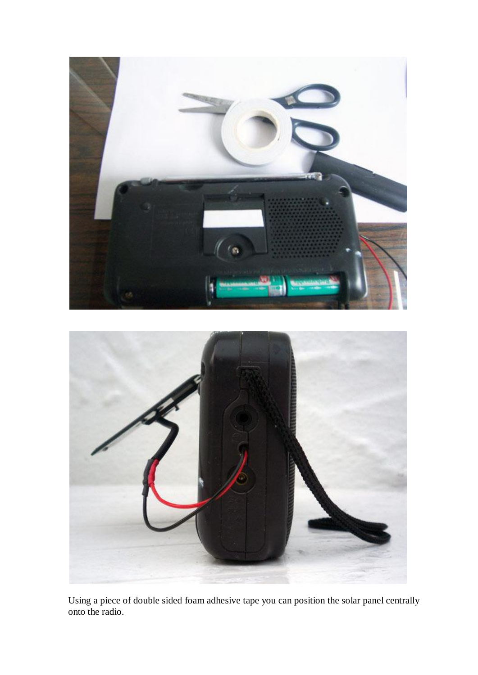

Using a piece of double sided foam adhesive tape you can position the solar panel centrally onto the radio.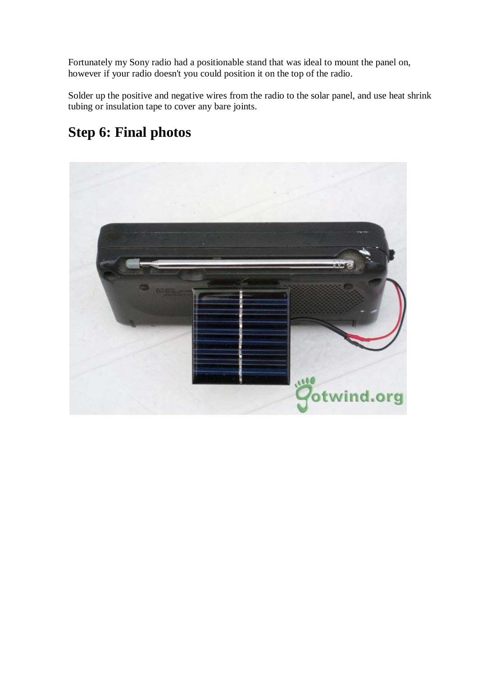Fortunately my Sony radio had a positionable stand that was ideal to mount the panel on, however if your radio doesn't you could position it on the top of the radio.

Solder up the positive and negative wires from the radio to the solar panel, and use heat shrink tubing or insulation tape to cover any bare joints.

# **Step 6: Final photos**